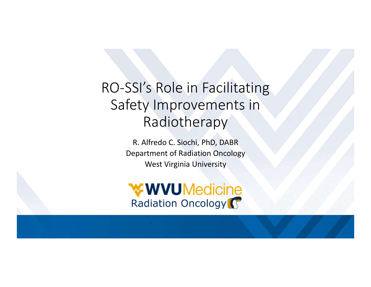# RO-SSI's Role in Facilitating Safety Improvements in Radiotherapy

R. Alfredo C. Siochi, PhD, DABR Department of Radiation Oncology West Virginia University

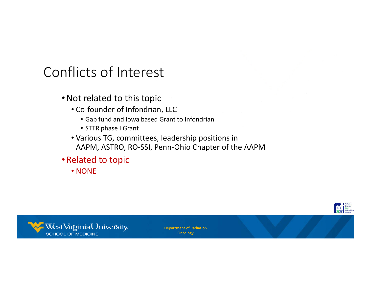# Conflicts of Interest

- •Not related to this topic
	- Co-founder of Infondrian, LLC
		- Gap fund and Iowa based Grant to Infondrian
		- STTR phase I Grant
	- Various TG, committees, leadership positions in AAPM, ASTRO, RO-SSI, Penn-Ohio Chapter of the AAPM
- •Related to topic
	- NONE



Department of Radiation **Oncology**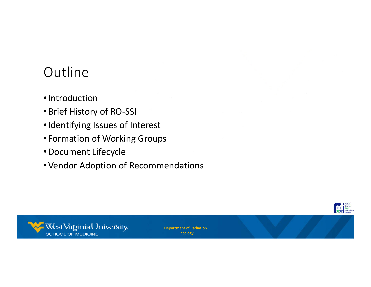# **Outline**

- •Introduction
- •Brief History of RO-SSI
- •Identifying Issues of Interest
- Formation of Working Groups
- •Document Lifecycle
- •Vendor Adoption of Recommendations



Department of Radiation **Oncology**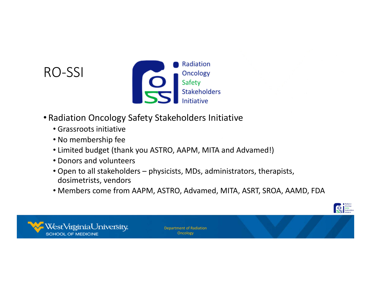## RO-SSI



- Radiation Oncology Safety Stakeholders Initiative
	- Grassroots initiative
	- No membership fee
	- Limited budget (thank you ASTRO, AAPM, MITA and Advamed!)
	- Donors and volunteers
	- Open to all stakeholders physicists, MDs, administrators, therapists, dosimetrists, vendors
	- Members come from AAPM, ASTRO, Advamed, MITA, ASRT, SROA, AAMD, FDA

**Department of the Stateholder** 

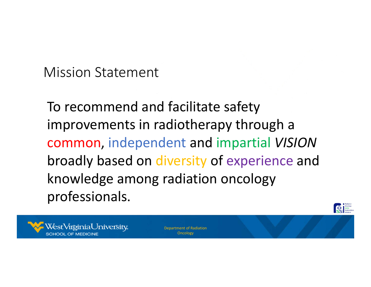Mission Statement

To recommend and facilitate safety improvements in radiotherapy through a common, independent and impartial *VISION* broadly based on diversity of experience and knowledge among radiation oncology professionals.



Department of Radiation Oncology

**De Concedesy**<br>Stakehold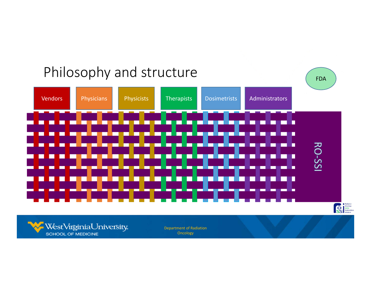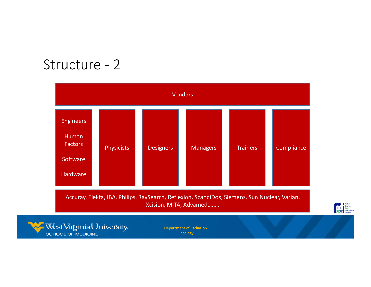## Structure - 2

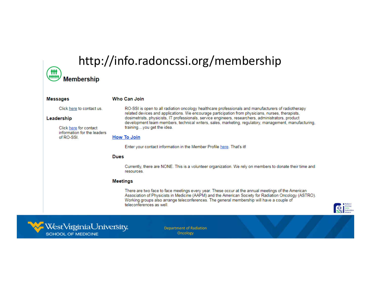# http://info.radoncssi.org/membership

### $\begin{pmatrix} 1 & 0 \\ 0 & 1 \end{pmatrix}$ **Membership**

| <b>Messages</b>                                                   | Who Can Join                                                                                                                                                                                                                                                                                                                                                                                                                                          |
|-------------------------------------------------------------------|-------------------------------------------------------------------------------------------------------------------------------------------------------------------------------------------------------------------------------------------------------------------------------------------------------------------------------------------------------------------------------------------------------------------------------------------------------|
| Click here to contact us.<br>Leadership<br>Click here for contact | RO-SSI is open to all radiation oncology healthcare professionals and manufacturers of radiotherapy<br>related devices and applications. We encourage participation from physicians, nurses, therapists,<br>dosimetrists, physicists, IT professionals, service engineers, researchers, administrators, product<br>development team members, technical writers, sales, marketing, regulatory, management, manufacturing,<br>trainingyou get the idea. |
| information for the leaders<br>of RO-SSL                          | <b>How To Join</b>                                                                                                                                                                                                                                                                                                                                                                                                                                    |
|                                                                   | Enter your contact information in the Member Profile here. That's it!                                                                                                                                                                                                                                                                                                                                                                                 |
|                                                                   | <b>Dues</b>                                                                                                                                                                                                                                                                                                                                                                                                                                           |
|                                                                   | Currently, there are NONE. This is a volunteer organization. We rely on members to donate their time and<br>resources.                                                                                                                                                                                                                                                                                                                                |
|                                                                   | <b>Meetings</b>                                                                                                                                                                                                                                                                                                                                                                                                                                       |
|                                                                   | There are two face to face meetings every year. These occur at the annual meetings of the American<br>Association of Physicists in Medicine (AAPM) and the American Society for Radiation Oncology (ASTRO).<br>Working groups also arrange teleconferences. The general membership will have a couple of<br>teleconferences as well                                                                                                                   |
|                                                                   |                                                                                                                                                                                                                                                                                                                                                                                                                                                       |



Department of Radiation **Oncology** 

Badiation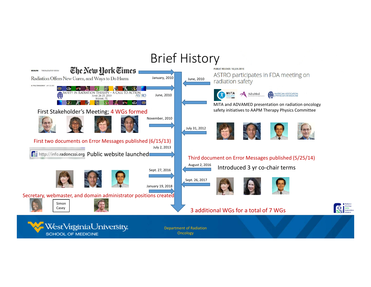# Brief History

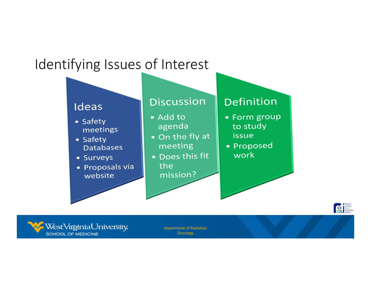# Identifying Issues of Interest





Department of Radiation **Oncology**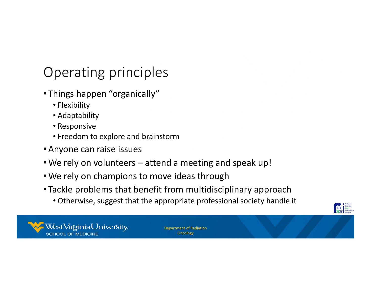# Operating principles

- Things happen "organically"
	- Flexibility
	- Adaptability
	- Responsive
	- Freedom to explore and brainstorm
- •Anyone can raise issues
- •We rely on volunteers attend a meeting and speak up!
- •We rely on champions to move ideas through
- Tackle problems that benefit from multidisciplinary approach
	- Otherwise, suggest that the appropriate professional society handle it



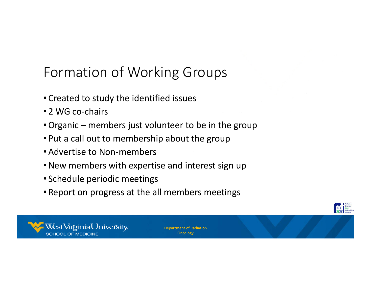# Formation of Working Groups

- Created to study the identified issues
- 2 WG co-chairs
- •Organic members just volunteer to be in the group
- Put a call out to membership about the group
- •Advertise to Non-members
- •New members with expertise and interest sign up
- Schedule periodic meetings
- Report on progress at the all members meetings



Department of Radiation **Oncology** 

**Department of the Stateholder**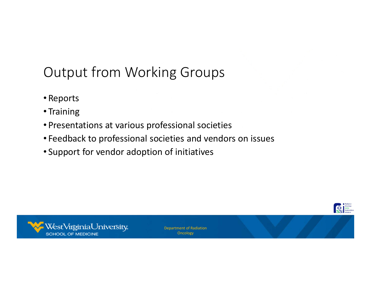# Output from Working Groups

- Reports
- Training
- Presentations at various professional societies
- Feedback to professional societies and vendors on issues
- Support for vendor adoption of initiatives



Department of Radiation **Oncology**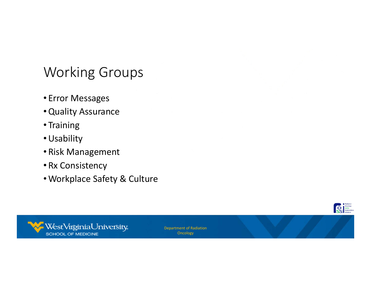# Working Groups

- Error Messages
- •Quality Assurance
- Training
- •Usability
- Risk Management
- Rx Consistency
- •Workplace Safety & Culture



Department of Radiation **Oncology**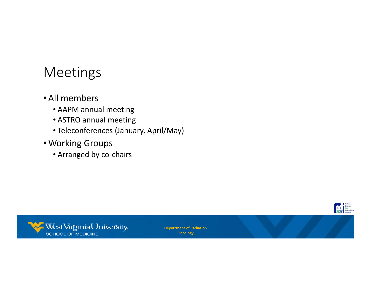## Meetings

### •All members

- AAPM annual meeting
- ASTRO annual meeting
- Teleconferences (January, April/May)
- •Working Groups
	- Arranged by co-chairs



Department of Radiation **Oncology** 

Radiation<br>
State State State And State And State And State And State And State And State And State And State And State And State And State And State And State And State And State And State And State And State And State And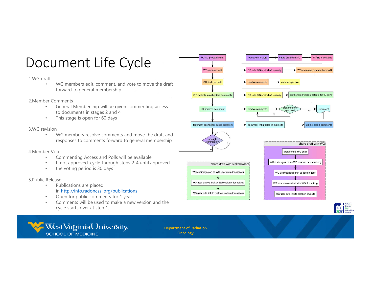# Document Life Cycle

#### 1.WG draft

• WG members edit, comment, and vote to move the draft forward to general membership

2.Member Comments

- General Membership will be given commenting access to documents in stages 2 and 4
- This stage is open for 60 days

### 3.WG revision

• WG members resolve comments and move the draft and responses to comments forward to general membership

#### 4.Member Vote

- Commenting Access and Polls will be available
- If not approved, cycle through steps 2-4 until approved
- the voting period is 30 days

### 5.Public Release

- Publications are placed in http://info.radoncssi.org/publications
- Open for public comments for 1 year
- Comments will be used to make a new version and the cycle starts over at step 1.





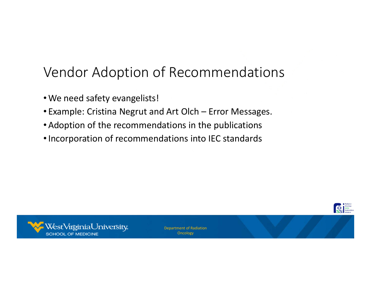# Vendor Adoption of Recommendations

- •We need safety evangelists!
- Example: Cristina Negrut and Art Olch Error Messages.
- •Adoption of the recommendations in the publications
- •Incorporation of recommendations into IEC standards



Department of Radiation **Oncology** 

**CONTRACT State**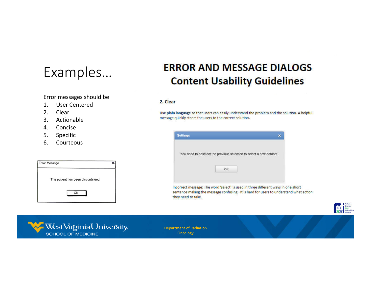## Examples…

Error messages should be

- 1. User Centered
- 2. Clear
- 3. Actionable
- 4. Concise
- 5. Specific
- 6. Courteous

### **ERROR AND MESSAGE DIALOGS Content Usability Guidelines**

#### 2. Clear

Use plain language so that users can easily understand the problem and the solution. A helpful message quickly steers the users to the correct solution.

| <b>Settings</b> |                                                                      | × |
|-----------------|----------------------------------------------------------------------|---|
|                 | You need to deselect the previous selection to select a new dataset. |   |
|                 |                                                                      |   |

Incorrect message: The word 'select' is used in three different ways in one short sentence making the message confusing. It is hard for users to understand what action they need to take.



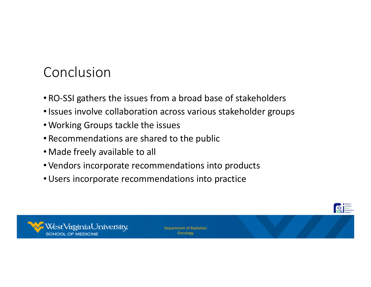# Conclusion

- RO-SSI gathers the issues from a broad base of stakeholders
- •Issues involve collaboration across various stakeholder groups
- •Working Groups tackle the issues
- Recommendations are shared to the public
- •Made freely available to all
- •Vendors incorporate recommendations into products
- •Users incorporate recommendations into practice



Department of Radiation **Oncology** 

**Department of the Stateholder**